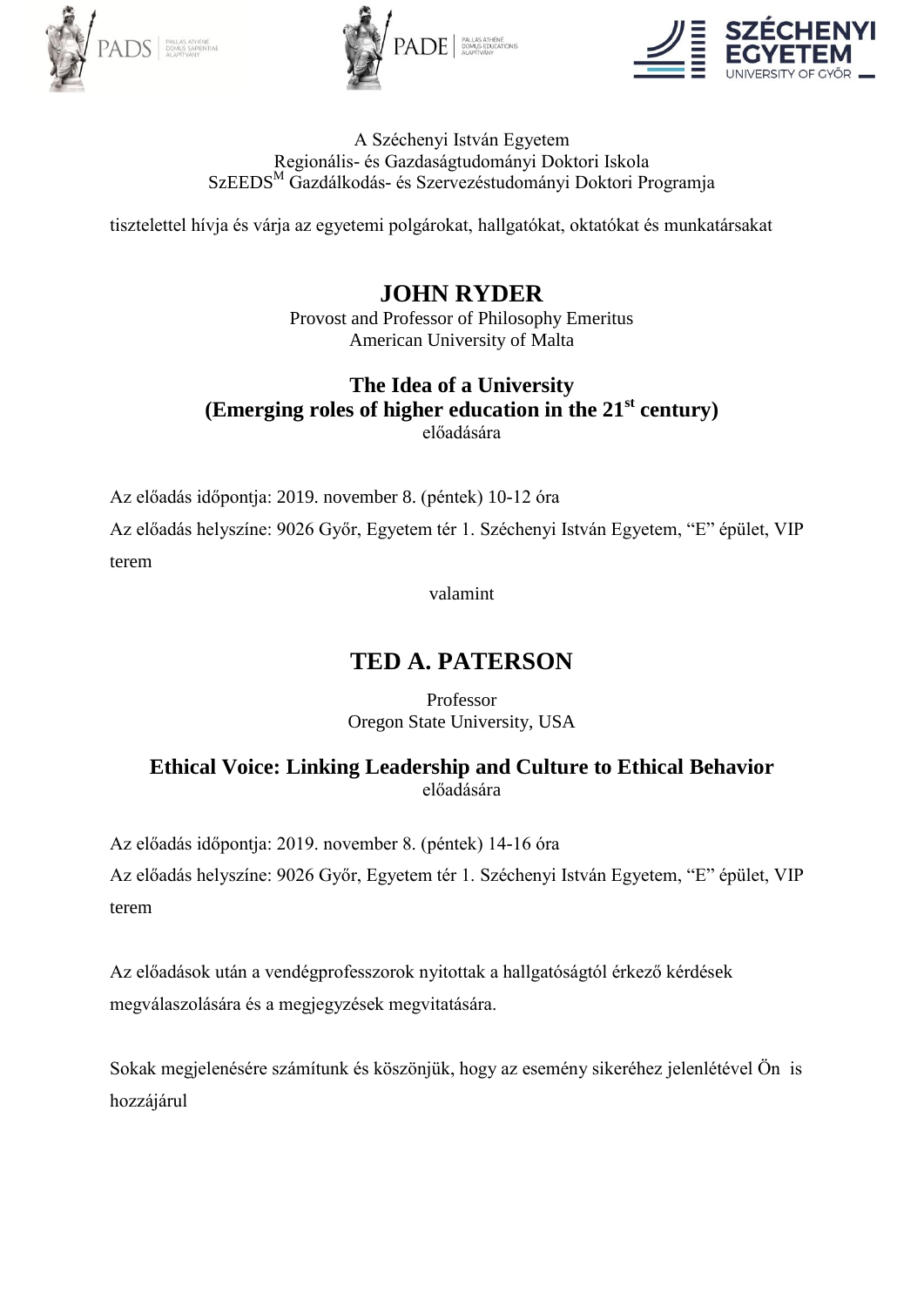





A Széchenyi István Egyetem Regionális- és Gazdaságtudományi Doktori Iskola SzEEDS<sup>M</sup> Gazdálkodás- és Szervezéstudományi Doktori Programja

tisztelettel hívja és várja az egyetemi polgárokat, hallgatókat, oktatókat és munkatársakat

#### **JOHN RYDER** Provost and Professor of Philosophy Emeritus American University of Malta

### **The Idea of a University (Emerging roles of higher education in the 21st century)** előadására

Az előadás időpontja: 2019. november 8. (péntek) 10-12 óra

Az előadás helyszíne: 9026 Győr, Egyetem tér 1. Széchenyi István Egyetem, "E" épület, VIP terem

valamint

# **TED A. PATERSON**

Professor Oregon State University, USA

### **Ethical Voice: Linking Leadership and Culture to Ethical Behavior** előadására

Az előadás időpontja: 2019. november 8. (péntek) 14-16 óra

Az előadás helyszíne: 9026 Győr, Egyetem tér 1. Széchenyi István Egyetem, "E" épület, VIP terem

Az előadások után a vendégprofesszorok nyitottak a hallgatóságtól érkező kérdések megválaszolására és a megjegyzések megvitatására.

Sokak megjelenésére számítunk és köszönjük, hogy az esemény sikeréhez jelenlétével Ön is hozzájárul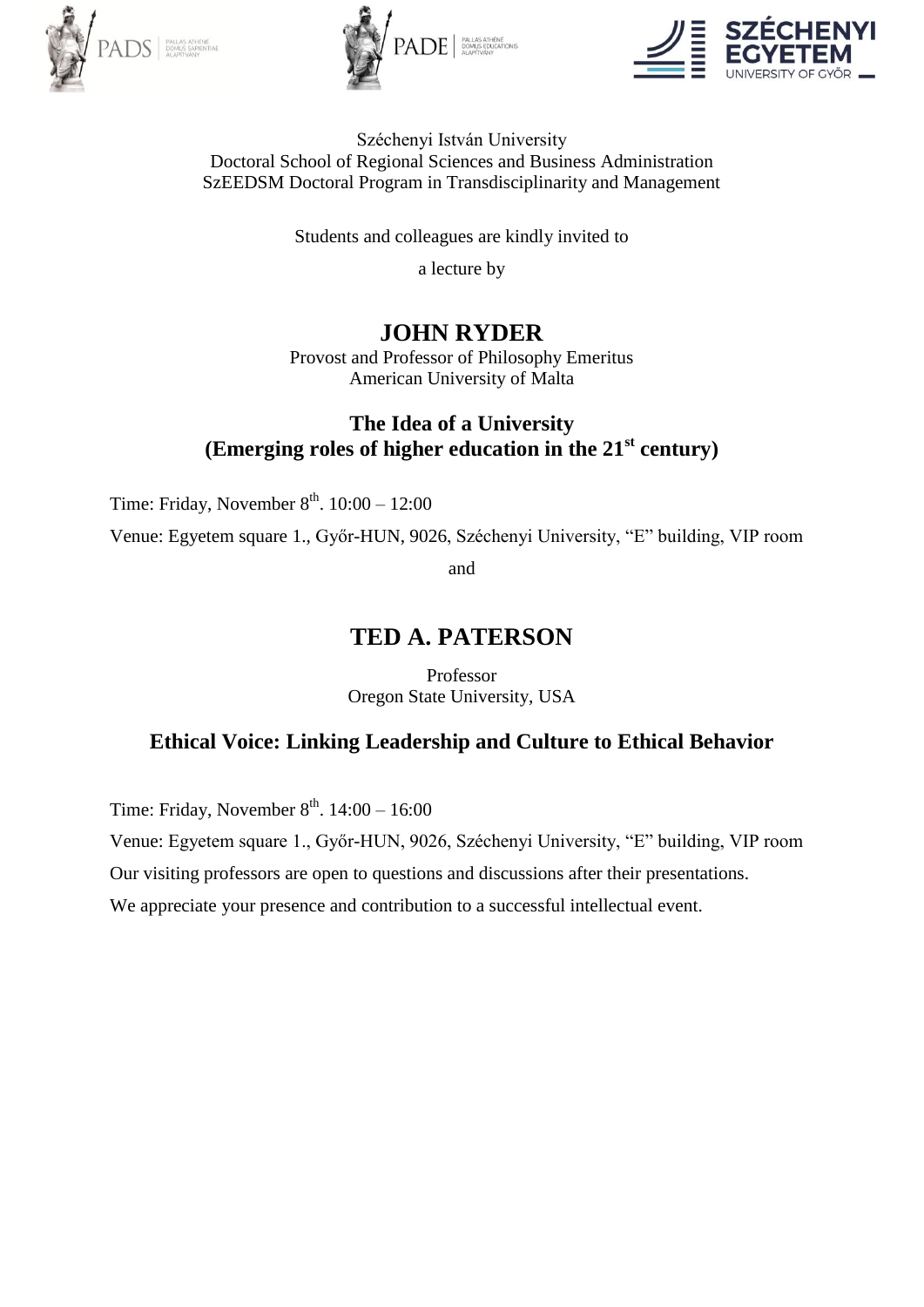





#### Széchenyi István University Doctoral School of Regional Sciences and Business Administration SzEEDSM Doctoral Program in Transdisciplinarity and Management

Students and colleagues are kindly invited to

a lecture by

# **JOHN RYDER**

Provost and Professor of Philosophy Emeritus American University of Malta

## **The Idea of a University (Emerging roles of higher education in the 21st century)**

Time: Friday, November  $8^{th}$ , 10:00 – 12:00

Venue: Egyetem square 1., Győr-HUN, 9026, Széchenyi University, "E" building, VIP room

and

## **TED A. PATERSON**

Professor Oregon State University, USA

## **Ethical Voice: Linking Leadership and Culture to Ethical Behavior**

Time: Friday, November  $8^{th}$ , 14:00 – 16:00

Venue: Egyetem square 1., Győr-HUN, 9026, Széchenyi University, "E" building, VIP room

Our visiting professors are open to questions and discussions after their presentations.

We appreciate your presence and contribution to a successful intellectual event.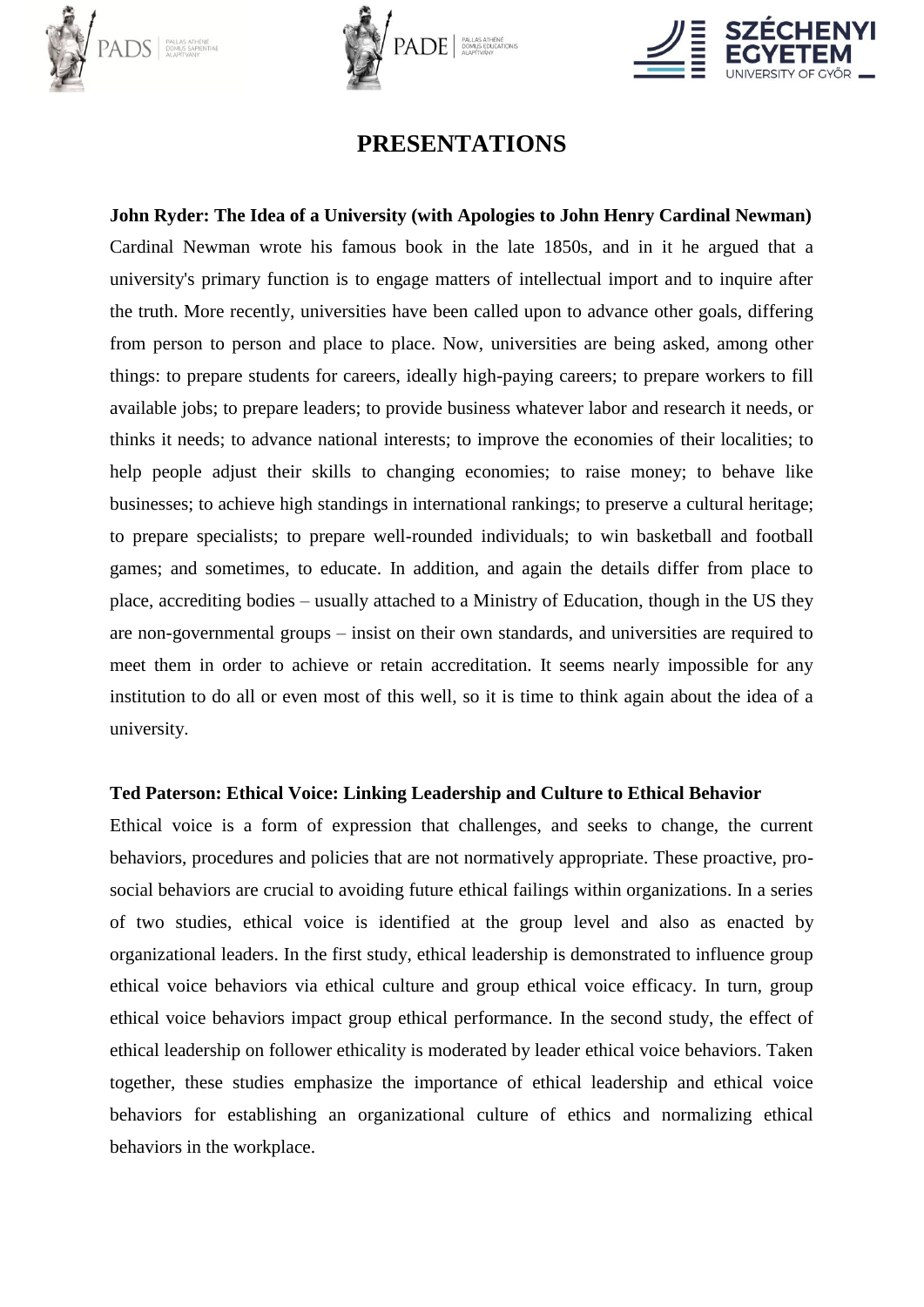





## **PRESENTATIONS**

**John Ryder: The Idea of a University (with Apologies to John Henry Cardinal Newman)** Cardinal Newman wrote his famous book in the late 1850s, and in it he argued that a university's primary function is to engage matters of intellectual import and to inquire after the truth. More recently, universities have been called upon to advance other goals, differing from person to person and place to place. Now, universities are being asked, among other things: to prepare students for careers, ideally high-paying careers; to prepare workers to fill available jobs; to prepare leaders; to provide business whatever labor and research it needs, or thinks it needs; to advance national interests; to improve the economies of their localities; to help people adjust their skills to changing economies; to raise money; to behave like businesses; to achieve high standings in international rankings; to preserve a cultural heritage; to prepare specialists; to prepare well-rounded individuals; to win basketball and football games; and sometimes, to educate. In addition, and again the details differ from place to place, accrediting bodies – usually attached to a Ministry of Education, though in the US they are non-governmental groups – insist on their own standards, and universities are required to meet them in order to achieve or retain accreditation. It seems nearly impossible for any institution to do all or even most of this well, so it is time to think again about the idea of a university.

### **Ted Paterson: Ethical Voice: Linking Leadership and Culture to Ethical Behavior**

Ethical voice is a form of expression that challenges, and seeks to change, the current behaviors, procedures and policies that are not normatively appropriate. These proactive, prosocial behaviors are crucial to avoiding future ethical failings within organizations. In a series of two studies, ethical voice is identified at the group level and also as enacted by organizational leaders. In the first study, ethical leadership is demonstrated to influence group ethical voice behaviors via ethical culture and group ethical voice efficacy. In turn, group ethical voice behaviors impact group ethical performance. In the second study, the effect of ethical leadership on follower ethicality is moderated by leader ethical voice behaviors. Taken together, these studies emphasize the importance of ethical leadership and ethical voice behaviors for establishing an organizational culture of ethics and normalizing ethical behaviors in the workplace.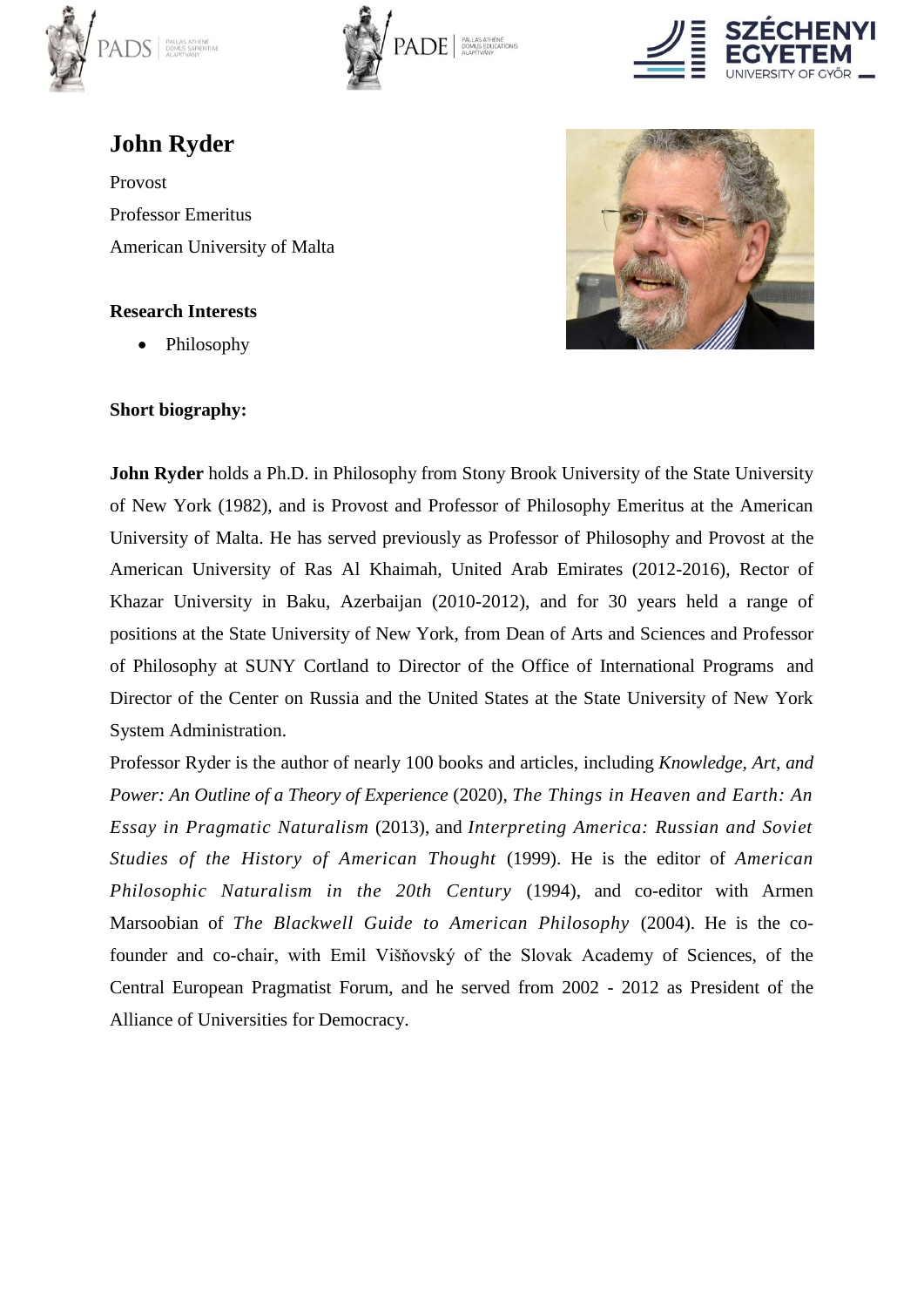





# **John Ryder**

Provost Professor Emeritus American University of Malta

### **Research Interests**

Philosophy

### **Short biography:**



**John Ryder** holds a Ph.D. in Philosophy from Stony Brook University of the State University of New York (1982), and is Provost and Professor of Philosophy Emeritus at the American University of Malta. He has served previously as Professor of Philosophy and Provost at the American University of Ras Al Khaimah, United Arab Emirates (2012-2016), Rector of Khazar University in Baku, Azerbaijan (2010-2012), and for 30 years held a range of positions at the State University of New York, from Dean of Arts and Sciences and Professor of Philosophy at SUNY Cortland to Director of the Office of International Programs and Director of the Center on Russia and the United States at the State University of New York System Administration.

Professor Ryder is the author of nearly 100 books and articles, including *Knowledge, Art, and Power: An Outline of a Theory of Experience* (2020), *The Things in Heaven and Earth: An Essay in Pragmatic Naturalism* (2013), and *Interpreting America: Russian and Soviet Studies of the History of American Thought* (1999). He is the editor of *American Philosophic Naturalism in the 20th Century* (1994), and co-editor with Armen Marsoobian of *The Blackwell Guide to American Philosophy* (2004). He is the cofounder and co-chair, with Emil Višňovský of the Slovak Academy of Sciences, of the Central European Pragmatist Forum, and he served from 2002 - 2012 as President of the Alliance of Universities for Democracy.